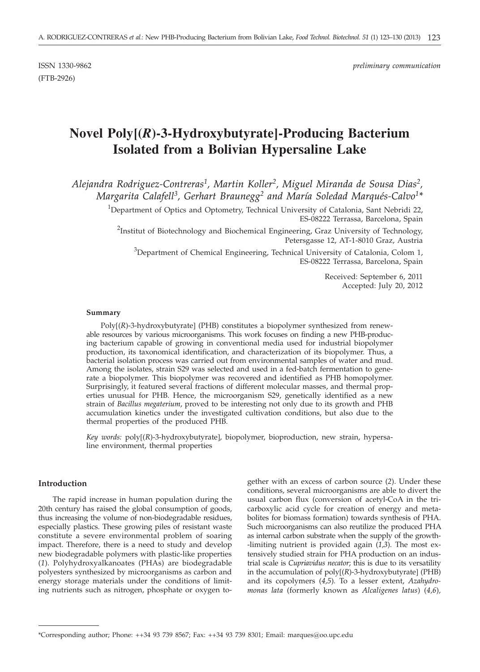(FTB-2926)

# **Novel Poly[(***R***)-3-Hydroxybutyrate]-Producing Bacterium Isolated from a Bolivian Hypersaline Lake**

*Alejandra Rodriguez-Contreras1, Martin Koller2, Miguel Miranda de Sousa Dias2, Margarita Calafell3, Gerhart Braunegg2 and María Soledad Marqués-Calvo1\**

> <sup>1</sup>Department of Optics and Optometry, Technical University of Catalonia, Sant Nebridi 22, ES-08222 Terrassa, Barcelona, Spain

<sup>2</sup>Institut of Biotechnology and Biochemical Engineering, Graz University of Technology, Petersgasse 12, AT-1-8010 Graz, Austria

<sup>3</sup>Department of Chemical Engineering, Technical University of Catalonia, Colom 1, ES-08222 Terrassa, Barcelona, Spain

> Received: September 6, 2011 Accepted: July 20, 2012

#### **Summary**

Poly[(*R*)-3-hydroxybutyrate] (PHB) constitutes a biopolymer synthesized from renewable resources by various microorganisms. This work focuses on finding a new PHB-producing bacterium capable of growing in conventional media used for industrial biopolymer production, its taxonomical identification, and characterization of its biopolymer. Thus, a bacterial isolation process was carried out from environmental samples of water and mud. Among the isolates, strain S29 was selected and used in a fed-batch fermentation to generate a biopolymer. This biopolymer was recovered and identified as PHB homopolymer. Surprisingly, it featured several fractions of different molecular masses, and thermal properties unusual for PHB. Hence, the microorganism S29, genetically identified as a new strain of *Bacillus megaterium*, proved to be interesting not only due to its growth and PHB accumulation kinetics under the investigated cultivation conditions, but also due to the thermal properties of the produced PHB.

*Key words:* poly[(*R*)-3-hydroxybutyrate], biopolymer, bioproduction, new strain, hypersaline environment, thermal properties

## **Introduction**

The rapid increase in human population during the 20th century has raised the global consumption of goods, thus increasing the volume of non-biodegradable residues, especially plastics. These growing piles of resistant waste constitute a severe environmental problem of soaring impact. Therefore, there is a need to study and develop new biodegradable polymers with plastic-like properties (*1*). Polyhydroxyalkanoates (PHAs) are biodegradable polyesters synthesized by microorganisms as carbon and energy storage materials under the conditions of limiting nutrients such as nitrogen, phosphate or oxygen together with an excess of carbon source (*2*). Under these conditions, several microorganisms are able to divert the usual carbon flux (conversion of acetyl-CoA in the tricarboxylic acid cycle for creation of energy and metabolites for biomass formation) towards synthesis of PHA. Such microorganisms can also reutilize the produced PHA as internal carbon substrate when the supply of the growth- -limiting nutrient is provided again (*1*,*3*). The most extensively studied strain for PHA production on an industrial scale is *Cupriavidus necator*; this is due to its versatility in the accumulation of poly[(*R*)-3-hydroxybutyrate] (PHB) and its copolymers (*4,5*)*.* To a lesser extent, *Azahydromonas lata* (formerly known as *Alcaligenes latus*) (*4,6*)*,*

<sup>\*</sup>Corresponding author; Phone: ++34 93 739 8567; Fax: ++34 93 739 8301; Email: marques@oo.upc.edu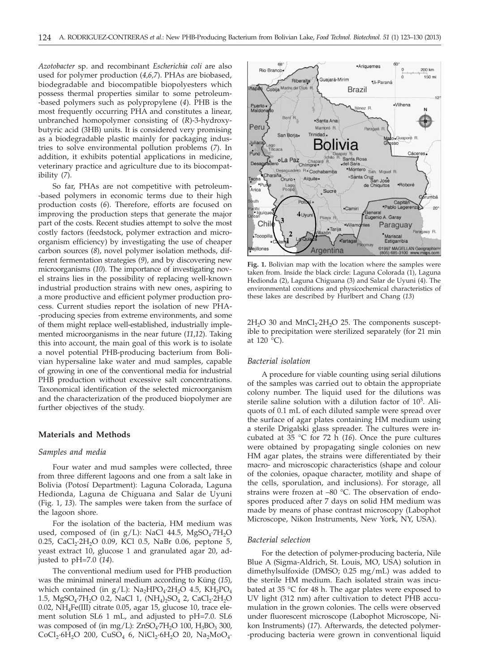*Azotobacter* sp. and recombinant *Escherichia coli* are also used for polymer production (*4,6,7*). PHAs are biobased, biodegradable and biocompatible biopolyesters which possess thermal properties similar to some petroleum- -based polymers such as polypropylene (*4*). PHB is the most frequently occurring PHA and constitutes a linear, unbranched homopolymer consisting of (*R*)-3-hydroxybutyric acid (3HB) units. It is considered very promising as a biodegradable plastic mainly for packaging industries to solve environmental pollution problems (*7*). In addition, it exhibits potential applications in medicine, veterinary practice and agriculture due to its biocompatibility (*7*).

So far, PHAs are not competitive with petroleum- -based polymers in economic terms due to their high production costs (*6*). Therefore, efforts are focused on improving the production steps that generate the major part of the costs. Recent studies attempt to solve the most costly factors (feedstock, polymer extraction and microorganism efficiency) by investigating the use of cheaper carbon sources (*8*), novel polymer isolation methods, different fermentation strategies (*9*), and by discovering new microorganisms (*10*). The importance of investigating novel strains lies in the possibility of replacing well-known industrial production strains with new ones, aspiring to a more productive and efficient polymer production process. Current studies report the isolation of new PHA- -producing species from extreme environments, and some of them might replace well-established, industrially implemented microorganisms in the near future (*11*,*12*). Taking this into account, the main goal of this work is to isolate a novel potential PHB-producing bacterium from Bolivian hypersaline lake water and mud samples, capable of growing in one of the conventional media for industrial PHB production without excessive salt concentrations. Taxonomical identification of the selected microorganism and the characterization of the produced biopolymer are further objectives of the study.

## **Materials and Methods**

## *Samples and media*

Four water and mud samples were collected, three from three different lagoons and one from a salt lake in Bolivia (Potosí Department): Laguna Colorada, Laguna Hedionda, Laguna de Chiguana and Salar de Uyuni (Fig. 1, *13*). The samples were taken from the surface of the lagoon shore.

For the isolation of the bacteria, HM medium was used, composed of (in  $g/L$ ): NaCl 44.5, MgSO<sub>4</sub>.7H<sub>2</sub>O 0.25, CaCl<sub>2</sub>·2H<sub>2</sub>O 0.09, KCl 0.5, NaBr 0.06, peptone 5, yeast extract 10, glucose 1 and granulated agar 20, adjusted to pH=7.0 (*14*).

The conventional medium used for PHB production was the minimal mineral medium according to Küng (*15*), which contained (in  $g/L$ ): Na<sub>2</sub>HPO<sub>4</sub>·2H<sub>2</sub>O 4.5, KH<sub>2</sub>PO<sub>4</sub> 1.5, MgSO<sub>4</sub>·7H<sub>2</sub>O 0.2, NaCl 1, (NH<sub>4</sub>)<sub>2</sub>SO<sub>4</sub> 2, CaCl<sub>2</sub>·2H<sub>2</sub>O 0.02, NH4Fe(III) citrate 0.05, agar 15, glucose 10, trace element solution SL6 1 mL, and adjusted to pH=7.0. SL6 was composed of (in mg/L):  $ZnSO<sub>4</sub>·7H<sub>2</sub>O$  100,  $H<sub>3</sub>BO<sub>3</sub>$  300,  $CoCl_2·6H_2O$  200,  $CuSO_4$  6,  $NiCl_2·6H_2O$  20,  $Na_2MoO_4$ .



**Fig. 1.** Bolivian map with the location where the samples were taken from. Inside the black circle: Laguna Colorada (1), Laguna Hedionda (2), Laguna Chiguana (3) and Salar de Uyuni (4). The environmental conditions and physicochemical characteristics of these lakes are described by Hurlbert and Chang (*13*)

 $2H<sub>2</sub>O$  30 and MnCl<sub>2</sub> $\cdot$ 2H<sub>2</sub>O 25. The components susceptible to precipitation were sterilized separately (for 21 min at 120 °C).

## *Bacterial isolation*

A procedure for viable counting using serial dilutions of the samples was carried out to obtain the appropriate colony number. The liquid used for the dilutions was sterile saline solution with a dilution factor of 105 . Aliquots of 0.1 mL of each diluted sample were spread over the surface of agar plates containing HM medium using a sterile Drigalski glass spreader. The cultures were incubated at 35 °C for 72 h (*16*). Once the pure cultures were obtained by propagating single colonies on new HM agar plates, the strains were differentiated by their macro- and microscopic characteristics (shape and colour of the colonies, opaque character, motility and shape of the cells, sporulation, and inclusions). For storage, all strains were frozen at –80 °C. The observation of endospores produced after 7 days on solid HM medium was made by means of phase contrast microscopy (Labophot Microscope, Nikon Instruments, New York, NY, USA).

#### *Bacterial selection*

For the detection of polymer-producing bacteria, Nile Blue A (Sigma-Aldrich, St. Louis, MO, USA) solution in dimethylsulfoxide (DMSO; 0.25 mg/mL) was added to the sterile HM medium. Each isolated strain was incubated at 35 °C for 48 h. The agar plates were exposed to UV light (312 nm) after cultivation to detect PHB accumulation in the grown colonies. The cells were observed under fluorescent microscope (Labophot Microscope, Nikon Instruments) (*17*). Afterwards, the detected polymer- -producing bacteria were grown in conventional liquid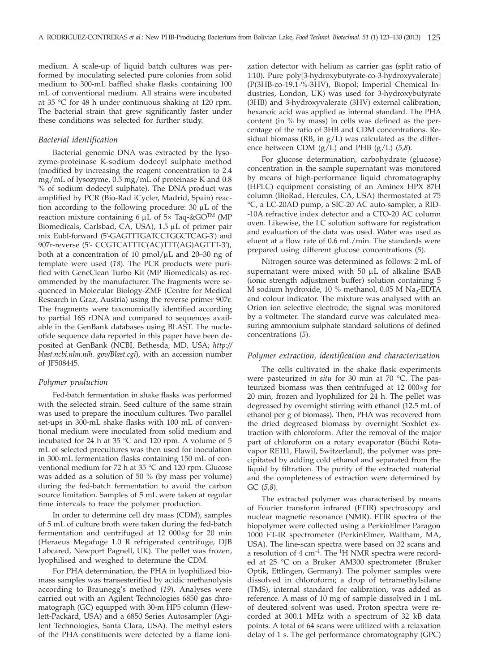medium. A scale-up of liquid batch cultures was performed by inoculating selected pure colonies from solid medium to 300-mL baffled shake flasks containing 100 mL of conventional medium. All strains were incubated at 35 °C for 48 h under continuous shaking at 120 rpm. The bacterial strain that grew significantly faster under these conditions was selected for further study.

## *Bacterial identification*

Bacterial genomic DNA was extracted by the lysozyme-proteinase K-sodium dodecyl sulphate method (modified by increasing the reagent concentration to 2.4 mg/mL of lysozyme, 0.5 mg/mL of proteinase K and 0.8 % of sodium dodecyl sulphate). The DNA product was amplified by PCR (Bio-Rad iCycler, Madrid, Spain) reaction according to the following procedure:  $30 \mu L$  of the reaction mixture containing 6  $\mu$ L of 5× Taq-&GO<sup>TM</sup> (MP Biomedicals, Carlsbad, CA, USA), 1.5 µL of primer pair mix EubI-forward (5'-GAGTTTGATCCTGGCTCAG-3') and 907r-reverse (5'- CCGTCATTTC(AC)TTT(AG)AGTTT-3'), both at a concentration of 10 pmol/ $\mu$ L and 20–30 ng of template were used (*18*). The PCR products were purified with GeneClean Turbo Kit (MP Biomedicals) as recommended by the manufacturer. The fragments were sequenced in Molecular Biology-ZMF (Centre for Medical Research in Graz, Austria) using the reverse primer 907r. The fragments were taxonomically identified according to partial 16S rDNA and compared to sequences available in the GenBank databases using BLAST. The nucleotide sequence data reported in this paper have been deposited at GenBank (NCBI, Bethesda, MD, USA; *http:// blast.ncbi.nlm.nih. gov/Blast.cgi*), with an accession number of JF508445.

### *Polymer production*

Fed-batch fermentation in shake flasks was performed with the selected strain. Seed culture of the same strain was used to prepare the inoculum cultures. Two parallel set-ups in 300-mL shake flasks with 100 mL of conventional medium were inoculated from solid medium and incubated for 24 h at 35 °C and 120 rpm. A volume of 5 mL of selected precultures was then used for inoculation in 300-mL fermentation flasks containing 150 mL of conventional medium for 72 h at 35 °C and 120 rpm. Glucose was added as a solution of 50 % (by mass per volume) during the fed-batch fermentation to avoid the carbon source limitation. Samples of 5 mL were taken at regular time intervals to trace the polymer production.

In order to determine cell dry mass (CDM), samples of 5 mL of culture broth were taken during the fed-batch fermentation and centrifuged at 12 000×*g* for 20 min (Heraeus Megafuge 1.0 R refrigerated centrifuge, DJB Labcared, Newport Pagnell, UK). The pellet was frozen, lyophilised and weighed to determine the CDM.

For PHA determination, the PHA in lyophilized biomass samples was transesterified by acidic methanolysis according to Braunegg's method (*19*). Analyses were carried out with an Agilent Technologies 6850 gas chromatograph (GC) equipped with 30-m HP5 column (Hewlett-Packard, USA) and a 6850 Series Autosampler (Agilent Technologies, Santa Clara, USA). The methyl esters of the PHA constituents were detected by a flame ioni-

zation detector with helium as carrier gas (split ratio of 1:10). Pure poly[3-hydroxybutyrate-co-3-hydroxyvalerate] (P(3HB-co-19.1-%-3HV), Biopol; Imperial Chemical Industries, London, UK) was used for 3-hydroxybutyrate (3HB) and 3-hydroxyvalerate (3HV) external calibration; hexanoic acid was applied as internal standard. The PHA content (in % by mass) in cells was defined as the percentage of the ratio of 3HB and CDM concentrations. Residual biomass (RB, in  $g/L$ ) was calculated as the difference between CDM (g/L) and PHB (g/L) (*5,8*).

For glucose determination, carbohydrate (glucose) concentration in the sample supernatant was monitored by means of high-performance liquid chromatography (HPLC) equipment consisting of an Aminex HPX 87H column (BioRad, Hercules, CA, USA) thermostated at 75 °C, a LC-20AD pump, a SIC-20 AC auto-sampler, a RID- -10A refractive index detector and a CTO-20 AC column oven. Likewise, the LC solution software for registration and evaluation of the data was used. Water was used as eluent at a flow rate of 0.6 mL/min. The standards were prepared using different glucose concentrations (*5*).

Nitrogen source was determined as follows: 2 mL of supernatant were mixed with  $50 \mu L$  of alkaline ISAB (ionic strength adjustment buffer) solution containing 5 M sodium hydroxide, 10 % methanol, 0.05 M  $Na<sub>2</sub>$ -EDTA and colour indicator. The mixture was analysed with an Orion ion selective electrode; the signal was monitored by a voltmeter. The standard curve was calculated measuring ammonium sulphate standard solutions of defined concentrations (*5*).

# *Polymer extraction, identification and characterization*

The cells cultivated in the shake flask experiments were pasteurized *in situ* for 30 min at 70 °C. The pasteurized biomass was then centrifuged at 12 000×*g* for 20 min, frozen and lyophilized for 24 h. The pellet was degreased by overnight stirring with ethanol (12.5 mL of ethanol per g of biomass). Then, PHA was recovered from the dried degreased biomass by overnight Soxhlet extraction with chloroform. After the removal of the major part of chloroform on a rotary evaporator (Büchi Rotavapor RE111, Flawil, Switzerland), the polymer was precipitated by adding cold ethanol and separated from the liquid by filtration. The purity of the extracted material and the completeness of extraction were determined by GC (*5,8*).

The extracted polymer was characterised by means of Fourier transform infrared (FTIR) spectroscopy and nuclear magnetic resonance (NMR). FTIR spectra of the biopolymer were collected using a PerkinElmer Paragon 1000 FT-IR spectrometer (PerkinElmer, Waltham, MA, USA). The line-scan spectra were based on 32 scans and a resolution of 4 cm<sup>-1</sup>. The <sup>1</sup>H NMR spectra were recorded at 25 °C on a Bruker AM300 spectrometer (Bruker Optik, Ettlingen, Germany). The polymer samples were dissolved in chloroform; a drop of tetramethylsilane (TMS), internal standard for calibration, was added as reference. A mass of 10 mg of sample dissolved in 1 mL of deutered solvent was used. Proton spectra were recorded at 300.1 MHz with a spectrum of 32 kB data points. A total of 64 scans were utilized with a relaxation delay of 1 s. The gel performance chromatography (GPC)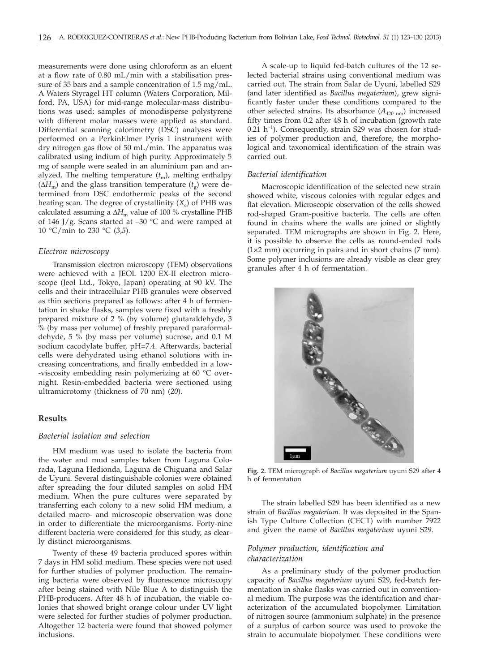measurements were done using chloroform as an eluent at a flow rate of 0.80 mL/min with a stabilisation pressure of 35 bars and a sample concentration of 1.5 mg/mL. A Waters Styragel HT column (Waters Corporation, Milford, PA, USA) for mid-range molecular-mass distributions was used; samples of monodisperse polystyrene with different molar masses were applied as standard. Differential scanning calorimetry (DSC) analyses were performed on a PerkinElmer Pyris 1 instrument with dry nitrogen gas flow of 50 mL/min. The apparatus was calibrated using indium of high purity. Approximately 5 mg of sample were sealed in an aluminium pan and analyzed. The melting temperature ( $t<sub>m</sub>$ ), melting enthalpy  $(\Delta H_m)$  and the glass transition temperature  $(t<sub>s</sub>)$  were determined from DSC endothermic peaks of the second heating scan. The degree of crystallinity  $(X_c)$  of PHB was calculated assuming a  $\Delta H_{\text{m}}$  value of 100 % crystalline PHB of 146 J/g. Scans started at  $-30$  °C and were ramped at 10 °C/min to 230 °C (*3*,*5*).

# *Electron microscopy*

Transmission electron microscopy (TEM) observations were achieved with a JEOL 1200 EX-II electron microscope (Jeol Ltd., Tokyo, Japan) operating at 90 kV. The cells and their intracellular PHB granules were observed as thin sections prepared as follows: after 4 h of fermentation in shake flasks, samples were fixed with a freshly prepared mixture of 2 % (by volume) glutaraldehyde, 3 % (by mass per volume) of freshly prepared paraformaldehyde, 5 % (by mass per volume) sucrose, and 0.1 M sodium cacodylate buffer, pH=7.4. Afterwards, bacterial cells were dehydrated using ethanol solutions with increasing concentrations, and finally embedded in a low- -viscosity embedding resin polymerizing at 60 °C overnight. Resin-embedded bacteria were sectioned using ultramicrotomy (thickness of 70 nm) (*20*).

# **Results**

### *Bacterial isolation and selection*

HM medium was used to isolate the bacteria from the water and mud samples taken from Laguna Colorada, Laguna Hedionda, Laguna de Chiguana and Salar de Uyuni. Several distinguishable colonies were obtained after spreading the four diluted samples on solid HM medium. When the pure cultures were separated by transferring each colony to a new solid HM medium, a detailed macro- and microscopic observation was done in order to differentiate the microorganisms. Forty-nine different bacteria were considered for this study, as clearly distinct microorganisms.

Twenty of these 49 bacteria produced spores within 7 days in HM solid medium. These species were not used for further studies of polymer production. The remaining bacteria were observed by fluorescence microscopy after being stained with Nile Blue A to distinguish the PHB-producers. After 48 h of incubation, the viable colonies that showed bright orange colour under UV light were selected for further studies of polymer production. Altogether 12 bacteria were found that showed polymer inclusions.

A scale-up to liquid fed-batch cultures of the 12 selected bacterial strains using conventional medium was carried out. The strain from Salar de Uyuni, labelled S29 (and later identified as *Bacillus megaterium*), grew significantly faster under these conditions compared to the other selected strains. Its absorbance  $(A_{420 \text{ nm}})$  increased fifty times from 0.2 after 48 h of incubation (growth rate  $0.21$  h<sup>-1</sup>). Consequently, strain S29 was chosen for studies of polymer production and, therefore, the morphological and taxonomical identification of the strain was carried out.

#### *Bacterial identification*

Macroscopic identification of the selected new strain showed white, viscous colonies with regular edges and flat elevation. Microscopic observation of the cells showed rod-shaped Gram-positive bacteria. The cells are often found in chains where the walls are joined or slightly separated. TEM micrographs are shown in Fig. 2. Here, it is possible to observe the cells as round-ended rods  $(1\times2$  mm) occurring in pairs and in short chains  $(7 \text{ mm})$ . Some polymer inclusions are already visible as clear grey granules after 4 h of fermentation.



**Fig. 2.** TEM micrograph of *Bacillus megaterium* uyuni S29 after 4 h of fermentation

The strain labelled S29 has been identified as a new strain of *Bacillus megaterium.* It was deposited in the Spanish Type Culture Collection (CECT) with number 7922 and given the name of *Bacillus megaterium* uyuni S29.

## *Polymer production, identification and characterization*

As a preliminary study of the polymer production capacity of *Bacillus megaterium* uyuni S29, fed-batch fermentation in shake flasks was carried out in conventional medium. The purpose was the identification and characterization of the accumulated biopolymer. Limitation of nitrogen source (ammonium sulphate) in the presence of a surplus of carbon source was used to provoke the strain to accumulate biopolymer. These conditions were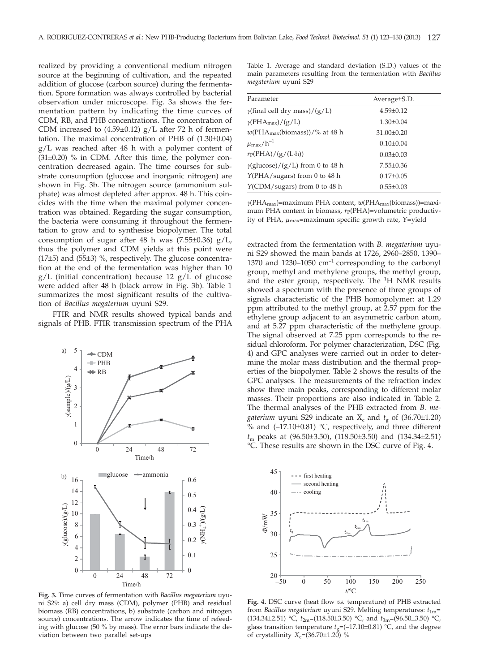realized by providing a conventional medium nitrogen source at the beginning of cultivation, and the repeated addition of glucose (carbon source) during the fermentation. Spore formation was always controlled by bacterial observation under microscope. Fig. 3a shows the fermentation pattern by indicating the time curves of CDM, RB, and PHB concentrations. The concentration of CDM increased to  $(4.59\pm0.12)$  g/L after 72 h of fermentation. The maximal concentration of PHB of (1.30±0.04) g/L was reached after 48 h with a polymer content of  $(31\pm0.20)$  % in CDM. After this time, the polymer concentration decreased again. The time courses for substrate consumption (glucose and inorganic nitrogen) are shown in Fig. 3b. The nitrogen source (ammonium sulphate) was almost depleted after approx. 48 h. This coincides with the time when the maximal polymer concentration was obtained. Regarding the sugar consumption, the bacteria were consuming it throughout the fermentation to grow and to synthesise biopolymer. The total consumption of sugar after 48 h was  $(7.55\pm0.36)$  g/L, thus the polymer and CDM yields at this point were (17±5) and (55±3) %, respectively. The glucose concentration at the end of the fermentation was higher than 10  $g/L$  (initial concentration) because 12  $g/L$  of glucose were added after 48 h (black arrow in Fig. 3b). Table 1 summarizes the most significant results of the cultivation of *Bacillus megaterium* uyuni S29.

FTIR and NMR results showed typical bands and signals of PHB. FTIR transmission spectrum of the PHA



**Fig. 3.** Time curves of fermentation with *Bacillus megaterium* uyuni S29: a) cell dry mass (CDM), polymer (PHB) and residual biomass (RB) concentrations, b) substrate (carbon and nitrogen source) concentrations. The arrow indicates the time of refeeding with glucose (50 % by mass). The error bars indicate the deviation between two parallel set-ups

Table 1. Average and standard deviation (S.D.) values of the main parameters resulting from the fermentation with *Bacillus megaterium* uyuni S29

| Parameter                               | Average S.D.     |
|-----------------------------------------|------------------|
| $\gamma$ (final cell dry mass)/(g/L)    | $4.59 \pm 0.12$  |
| $\gamma$ (PHA <sub>max</sub> )/(g/L)    | $1.30 \pm 0.04$  |
| $w(PHAmax(biomass))/\%$ at 48 h         | $31.00 \pm 0.20$ |
| $\mu_{\rm max}/h^{-1}$                  | $0.10 \pm 0.04$  |
| $r_P(\text{PHA})/(g/(L \cdot h))$       | $0.03 \pm 0.03$  |
| $\gamma$ (glucose)/(g/L) from 0 to 48 h | $7.55 \pm 0.36$  |
| $Y(PHA/sugars)$ from 0 to 48 h          | $0.17 \pm 0.05$  |
| $Y$ (CDM/sugars) from 0 to 48 h         | $0.55 \pm 0.03$  |

*g*(PHAmax)=maximum PHA content, *w*(PHAmax(biomass))=maximum PHA content in biomass,  $r_P$ (PHA)=volumetric productivity of PHA,  $\mu_{\text{max}}$ =maximum specific growth rate, Y=yield

extracted from the fermentation with *B. megaterium* uyuni S29 showed the main bands at 1726, 2960–2850, 1390– 1370 and 1230–1050  $cm^{-1}$  corresponding to the carbonyl group, methyl and methylene groups, the methyl group, and the ester group, respectively. The <sup>1</sup>H NMR results showed a spectrum with the presence of three groups of signals characteristic of the PHB homopolymer: at 1.29 ppm attributed to the methyl group, at 2.57 ppm for the ethylene group adjacent to an asymmetric carbon atom, and at 5.27 ppm characteristic of the methylene group. The signal observed at 7.25 ppm corresponds to the residual chloroform. For polymer characterization, DSC (Fig. 4) and GPC analyses were carried out in order to determine the molar mass distribution and the thermal properties of the biopolymer. Table 2 shows the results of the GPC analyses. The measurements of the refraction index show three main peaks, corresponding to different molar masses. Their proportions are also indicated in Table 2. The thermal analyses of the PHB extracted from *B. megaterium* uyuni S29 indicate an  $X_c$  and  $t_g$  of (36.70±1.20) % and  $(-17.10\pm0.81)$  °C, respectively, and three different *t*<sup>m</sup> peaks at (96.50±3.50), (118.50±3.50) and (134.34±2.51) °C. These results are shown in the DSC curve of Fig. 4.



**Fig. 4.** DSC curve (heat flow *vs.* temperature) of PHB extracted from *Bacillus megaterium* uyuni S29. Melting temperatures: *t*1m= (134.34±2.51) °C,  $t_{2m}$ =(118.50±3.50) °C, and  $t_{3m}$ =(96.50±3.50) °C, glass transition temperature  $t_{\alpha} = (-17.10 \pm 0.81)$  °C, and the degree of crystallinity  $X_c = (36.70 \pm 1.20)$  %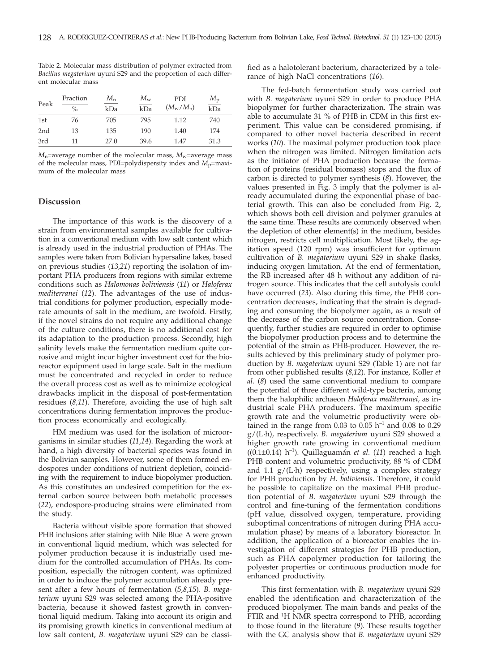| Peak            | Fraction<br>$\frac{0}{0}$ | $M_{n}$<br>kDa | $M_{\rm w}$<br>kDa | <b>PDI</b><br>$(M_{\rm w}/M_{\rm n})$ | $M_{\rm p}$<br>kDa |
|-----------------|---------------------------|----------------|--------------------|---------------------------------------|--------------------|
| 1st             | 76                        | 705            | 795                | 1.12                                  | 740                |
| 2 <sub>nd</sub> | 13                        | 135            | 190                | 1.40                                  | 174                |
| 3rd             | 11                        | 27.0           | 39.6               | 1.47                                  | 31.3               |

Table 2. Molecular mass distribution of polymer extracted from *Bacillus megaterium* uyuni S29 and the proportion of each different molecular mass

 $M_n$ =average number of the molecular mass,  $M_w$ =average mass of the molecular mass, PDI=polydispersity index and *M*<sub>p</sub>=maximum of the molecular mass

## **Discussion**

The importance of this work is the discovery of a strain from environmental samples available for cultivation in a conventional medium with low salt content which is already used in the industrial production of PHAs. The samples were taken from Bolivian hypersaline lakes, based on previous studies (*13,21*) reporting the isolation of important PHA producers from regions with similar extreme conditions such as *Halomonas boliviensis* (*11*) or *Haloferax mediterranei* (*12*). The advantages of the use of industrial conditions for polymer production, especially moderate amounts of salt in the medium, are twofold. Firstly, if the novel strains do not require any additional change of the culture conditions, there is no additional cost for its adaptation to the production process. Secondly, high salinity levels make the fermentation medium quite corrosive and might incur higher investment cost for the bioreactor equipment used in large scale. Salt in the medium must be concentrated and recycled in order to reduce the overall process cost as well as to minimize ecological drawbacks implicit in the disposal of post-fermentation residues (*8,11*). Therefore, avoiding the use of high salt concentrations during fermentation improves the production process economically and ecologically.

HM medium was used for the isolation of microorganisms in similar studies (*11*,*14*). Regarding the work at hand, a high diversity of bacterial species was found in the Bolivian samples. However, some of them formed endospores under conditions of nutrient depletion, coinciding with the requirement to induce biopolymer production. As this constitutes an undesired competition for the external carbon source between both metabolic processes (*22*), endospore-producing strains were eliminated from the study.

Bacteria without visible spore formation that showed PHB inclusions after staining with Nile Blue A were grown in conventional liquid medium, which was selected for polymer production because it is industrially used medium for the controlled accumulation of PHAs. Its composition, especially the nitrogen content, was optimized in order to induce the polymer accumulation already present after a few hours of fermentation (*5,8*,*15*). *B. megaterium* uyuni S29 was selected among the PHA-positive bacteria, because it showed fastest growth in conventional liquid medium. Taking into account its origin and its promising growth kinetics in conventional medium at low salt content, *B. megaterium* uyuni S29 can be classified as a halotolerant bacterium, characterized by a tolerance of high NaCl concentrations (*16*).

The fed-batch fermentation study was carried out with *B. megaterium* uyuni S29 in order to produce PHA biopolymer for further characterization. The strain was able to accumulate 31 % of PHB in CDM in this first experiment. This value can be considered promising, if compared to other novel bacteria described in recent works (*10*). The maximal polymer production took place when the nitrogen was limited. Nitrogen limitation acts as the initiator of PHA production because the formation of proteins (residual biomass) stops and the flux of carbon is directed to polymer synthesis (*8*). However, the values presented in Fig. 3 imply that the polymer is already accumulated during the exponential phase of bacterial growth. This can also be concluded from Fig. 2, which shows both cell division and polymer granules at the same time. These results are commonly observed when the depletion of other element(s) in the medium, besides nitrogen, restricts cell multiplication. Most likely, the agitation speed (120 rpm) was insufficient for optimum cultivation of *B. megaterium* uyuni S29 in shake flasks, inducing oxygen limitation. At the end of fermentation, the RB increased after 48 h without any addition of nitrogen source. This indicates that the cell autolysis could have occurred (*23*). Also during this time, the PHB concentration decreases, indicating that the strain is degrading and consuming the biopolymer again, as a result of the decrease of the carbon source concentration. Consequently, further studies are required in order to optimise the biopolymer production process and to determine the potential of the strain as PHB-producer. However, the results achieved by this preliminary study of polymer production by *B. megaterium* uyuni S29 (Table 1) are not far from other published results (*8*,*12*). For instance, Koller *et al.* (*8*) used the same conventional medium to compare the potential of three different wild-type bacteria, among them the halophilic archaeon *Haloferax mediterranei*, as industrial scale PHA producers. The maximum specific growth rate and the volumetric productivity were obtained in the range from 0.03 to 0.05  $h^{-1}$  and 0.08 to 0.29 g/(L·h), respectively. *B. megaterium* uyuni S29 showed a higher growth rate growing in conventional medium ((0.1±0.14) h–1). Quillaguamán *et al.* (*11*) reached a high PHB content and volumetric productivity, 88 % of CDM and  $1.1$   $g/(L \cdot h)$  respectively, using a complex strategy for PHB production by *H. boliviensis*. Therefore, it could be possible to capitalize on the maximal PHB production potential of *B. megaterium* uyuni S29 through the control and fine-tuning of the fermentation conditions (pH value, dissolved oxygen, temperature, providing suboptimal concentrations of nitrogen during PHA accumulation phase) by means of a laboratory bioreactor. In addition, the application of a bioreactor enables the investigation of different strategies for PHB production, such as PHA copolymer production for tailoring the polyester properties or continuous production mode for enhanced productivity.

This first fermentation with *B. megaterium* uyuni S29 enabled the identification and characterization of the produced biopolymer. The main bands and peaks of the FTIR and <sup>1</sup>H NMR spectra correspond to PHB, according to those found in the literature (*9*). These results together with the GC analysis show that *B. megaterium* uyuni S29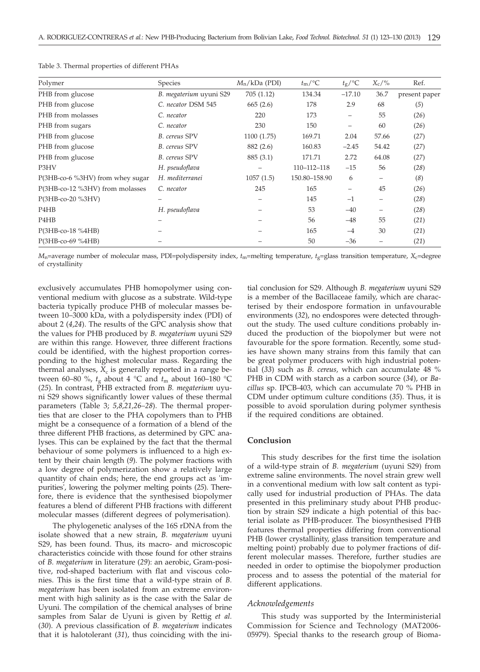| Polymer                          | Species                 | $M_n/kDa$ (PDI) | $t_{\rm m}/^{\circ}C$ | $t_{\rm g}/\text{°C}$ | $X_c$ /% | Ref.          |
|----------------------------------|-------------------------|-----------------|-----------------------|-----------------------|----------|---------------|
| PHB from glucose                 | B. megaterium uyuni S29 | 705(1.12)       | 134.34                | $-17.10$              | 36.7     | present paper |
| PHB from glucose                 | C. necator DSM 545      | 665(2.6)        | 178                   | 2.9                   | 68       | (5)           |
| PHB from molasses                | C. necator              | 220             | 173                   | -                     | 55       | (26)          |
| PHB from sugars                  | C. necator              | 230             | 150                   | -                     | 60       | (26)          |
| PHB from glucose                 | <b>B.</b> cereus SPV    | 1100(1.75)      | 169.71                | 2.04                  | 57.66    | (27)          |
| PHB from glucose                 | <b>B.</b> cereus SPV    | 882 (2.6)       | 160.83                | $-2.45$               | 54.42    | (27)          |
| PHB from glucose                 | <b>B.</b> cereus SPV    | 885 (3.1)       | 171.71                | 2.72                  | 64.08    | (27)          |
| P3HV                             | H. pseudoflava          |                 | 110-112-118           | $-15$                 | 56       | (28)          |
| P(3HB-co-6 %3HV) from whey sugar | H. mediterranei         | 1057(1.5)       | 150.80-158.90         | 6                     |          | (8)           |
| P(3HB-co-12 %3HV) from molasses  | C. necator              | 245             | 165                   | -                     | 45       | (26)          |
| P(3HB-co-20 %3HV)                |                         |                 | 145                   | $-1$                  |          | (28)          |
| P <sub>4</sub> H <sub>B</sub>    | H. pseudoflava          |                 | 53                    | $-40$                 |          | (28)          |
| P4HB                             |                         |                 | 56                    | $-48$                 | 55       | (21)          |
| $P(3HB-co-18 \%4HB)$             |                         |                 | 165                   | $-4$                  | 30       | (21)          |
| $P(3HB-co-69 \%4HB)$             |                         |                 | 50                    | $-36$                 |          | (21)          |

Table 3. Thermal properties of different PHAs

*M*n=average number of molecular mass, PDI=polydispersity index, *t*m=melting temperature, *t*g=glass transition temperature, *X*c=degree of crystallinity

exclusively accumulates PHB homopolymer using conventional medium with glucose as a substrate. Wild-type bacteria typically produce PHB of molecular masses between 10–3000 kDa, with a polydispersity index (PDI) of about 2 (*4*,*24*). The results of the GPC analysis show that the values for PHB produced by *B. megaterium* uyuni S29 are within this range. However, three different fractions could be identified, with the highest proportion corresponding to the highest molecular mass. Regarding the thermal analyses,  $X_c$  is generally reported in a range between 60–80 %,  $t_g$  about 4 °C and  $t_m$  about 160–180 °C (25). In contrast, PHB extracted from *B. megaterium* uyuni S29 shows significantly lower values of these thermal parameters (Table 3; *5,8,21,26–28*). The thermal properties that are closer to the PHA copolymers than to PHB might be a consequence of a formation of a blend of the three different PHB fractions, as determined by GPC analyses. This can be explained by the fact that the thermal behaviour of some polymers is influenced to a high extent by their chain length (*9*). The polymer fractions with a low degree of polymerization show a relatively large quantity of chain ends; here, the end groups act as 'impurities', lowering the polymer melting points (*25*). Therefore, there is evidence that the synthesised biopolymer features a blend of different PHB fractions with different molecular masses (different degrees of polymerisation).

The phylogenetic analyses of the 16S rDNA from the isolate showed that a new strain, *B. megaterium* uyuni S29, has been found. Thus, its macro- and microscopic characteristics coincide with those found for other strains of *B. megaterium* in literature (*29*): an aerobic, Gram-positive, rod-shaped bacterium with flat and viscous colonies. This is the first time that a wild-type strain of *B. megaterium* has been isolated from an extreme environment with high salinity as is the case with the Salar de Uyuni. The compilation of the chemical analyses of brine samples from Salar de Uyuni is given by Rettig *et al.* (*30*). A previous classification of *B. megaterium* indicates that it is halotolerant (*31*), thus coinciding with the ini-

tial conclusion for S29. Although *B. megaterium* uyuni S29 is a member of the Bacillaceae family, which are characterised by their endospore formation in unfavourable environments (*32*), no endospores were detected throughout the study. The used culture conditions probably induced the production of the biopolymer but were not favourable for the spore formation. Recently, some studies have shown many strains from this family that can be great polymer producers with high industrial potential (*33*) such as *B. cereus,* which can accumulate 48 % PHB in CDM with starch as a carbon source (*34*), or *Bacillus* sp. IPCB-403, which can accumulate 70 % PHB in CDM under optimum culture conditions (*35*). Thus, it is possible to avoid sporulation during polymer synthesis if the required conditions are obtained.

# **Conclusion**

This study describes for the first time the isolation of a wild-type strain of *B. megaterium* (uyuni S29) from extreme saline environments. The novel strain grew well in a conventional medium with low salt content as typically used for industrial production of PHAs. The data presented in this preliminary study about PHB production by strain S29 indicate a high potential of this bacterial isolate as PHB-producer. The biosynthesised PHB features thermal properties differing from conventional PHB (lower crystallinity, glass transition temperature and melting point) probably due to polymer fractions of different molecular masses. Therefore, further studies are needed in order to optimise the biopolymer production process and to assess the potential of the material for different applications.

#### *Acknowledgements*

This study was supported by the Interministerial Commission for Science and Technology (MAT2006- 05979). Special thanks to the research group of Bioma